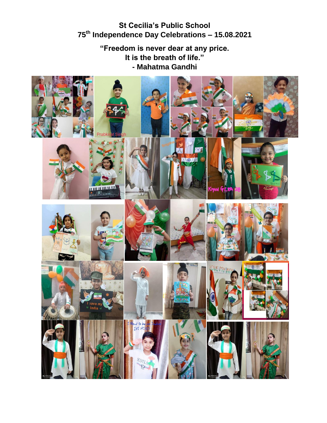## **St Cecilia's Public School 75th Independence Day Celebrations – 15.08.2021**

**"Freedom is never dear at any price. It is the breath of life." - Mahatma Gandhi**

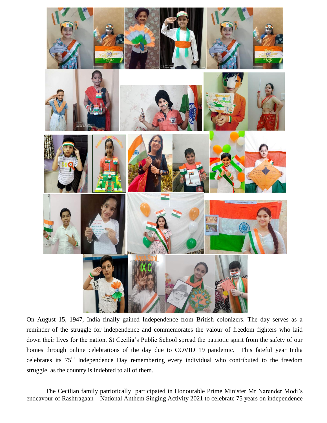

On August 15, 1947, India finally gained Independence from British colonizers. The day serves as a reminder of the struggle for independence and commemorates the valour of freedom fighters who laid down their lives for the nation. St Cecilia's Public School spread the patriotic spirit from the safety of our homes through online celebrations of the day due to COVID 19 pandemic. This fateful year India celebrates its 75<sup>th</sup> Independence Day remembering every individual who contributed to the freedom struggle, as the country is indebted to all of them.

The Cecilian family patriotically participated in Honourable Prime Minister Mr Narender Modi's endeavour of Rashtragaan – National Anthem Singing Activity 2021 to celebrate 75 years on independence